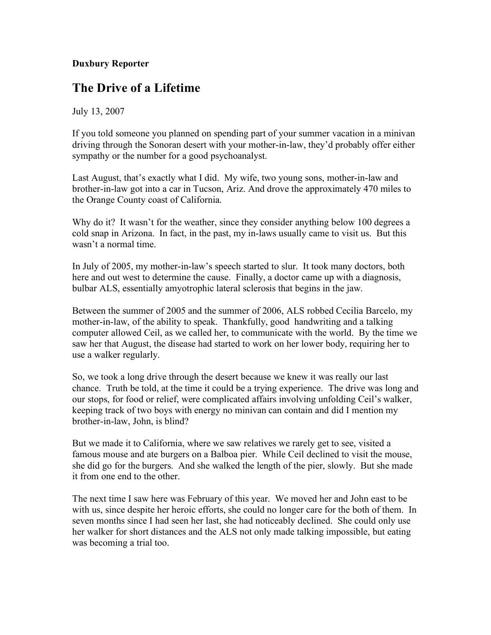## **Duxbury Reporter**

## **The Drive of a Lifetime**

July 13, 2007

If you told someone you planned on spending part of your summer vacation in a minivan driving through the Sonoran desert with your mother-in-law, they'd probably offer either sympathy or the number for a good psychoanalyst.

Last August, that's exactly what I did. My wife, two young sons, mother-in-law and brother-in-law got into a car in Tucson, Ariz. And drove the approximately 470 miles to the Orange County coast of California.

Why do it? It wasn't for the weather, since they consider anything below 100 degrees a cold snap in Arizona. In fact, in the past, my in-laws usually came to visit us. But this wasn't a normal time.

In July of 2005, my mother-in-law's speech started to slur. It took many doctors, both here and out west to determine the cause. Finally, a doctor came up with a diagnosis, bulbar ALS, essentially amyotrophic lateral sclerosis that begins in the jaw.

Between the summer of 2005 and the summer of 2006, ALS robbed Cecilia Barcelo, my mother-in-law, of the ability to speak. Thankfully, good handwriting and a talking computer allowed Ceil, as we called her, to communicate with the world. By the time we saw her that August, the disease had started to work on her lower body, requiring her to use a walker regularly.

So, we took a long drive through the desert because we knew it was really our last chance. Truth be told, at the time it could be a trying experience. The drive was long and our stops, for food or relief, were complicated affairs involving unfolding Ceil's walker, keeping track of two boys with energy no minivan can contain and did I mention my brother-in-law, John, is blind?

But we made it to California, where we saw relatives we rarely get to see, visited a famous mouse and ate burgers on a Balboa pier. While Ceil declined to visit the mouse, she did go for the burgers. And she walked the length of the pier, slowly. But she made it from one end to the other.

The next time I saw here was February of this year. We moved her and John east to be with us, since despite her heroic efforts, she could no longer care for the both of them. In seven months since I had seen her last, she had noticeably declined. She could only use her walker for short distances and the ALS not only made talking impossible, but eating was becoming a trial too.